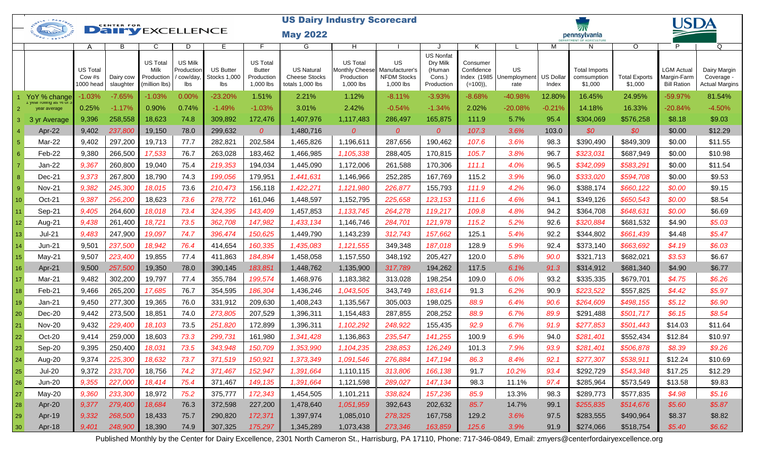|                 | <b>US Dairy Industry Scorecard</b><br>O <sup>SLE . PARTNERS</sup><br><b>CENTER FOR</b> |                                 |                         |                                                        |                                                  |                                                |                                                             |                                                               |                                            |                                                                         |                                                                |                                       |                                        |                           |                                                |                                 | USDA                                                   |                                                     |  |
|-----------------|----------------------------------------------------------------------------------------|---------------------------------|-------------------------|--------------------------------------------------------|--------------------------------------------------|------------------------------------------------|-------------------------------------------------------------|---------------------------------------------------------------|--------------------------------------------|-------------------------------------------------------------------------|----------------------------------------------------------------|---------------------------------------|----------------------------------------|---------------------------|------------------------------------------------|---------------------------------|--------------------------------------------------------|-----------------------------------------------------|--|
|                 | Jane                                                                                   |                                 | <b>Dairy EXCELLENCE</b> |                                                        |                                                  |                                                |                                                             | <b>May 2022</b>                                               |                                            |                                                                         |                                                                |                                       |                                        |                           | pennsylvania                                   |                                 |                                                        |                                                     |  |
|                 |                                                                                        | A                               | B                       | C                                                      | D                                                | E                                              |                                                             | G                                                             | H                                          |                                                                         |                                                                | K                                     |                                        | М                         | N                                              | O                               | P                                                      | Q                                                   |  |
|                 |                                                                                        | US Total<br>Cow #s<br>1000 head | Dairy cow<br>slaughter  | <b>US Total</b><br>Milk<br>Production<br>(million lbs) | <b>US Milk</b><br>Production<br>/ cow/day<br>lbs | <b>US Butter</b><br><b>Stocks 1,000</b><br>lbs | <b>US Total</b><br><b>Butter</b><br>Production<br>1,000 lbs | <b>US Natural</b><br><b>Cheese Stocks</b><br>totals 1,000 lbs | <b>US Total</b><br>Production<br>1,000 lbs | US.<br>Monthly Cheese Manufacturer's<br><b>NFDM Stocks</b><br>1,000 lbs | <b>US Nonfat</b><br>Dry Milk<br>(Human<br>Cons.)<br>Production | Consumer<br>Confidence<br>$(=100)$ ), | US<br>Index (1985 Unemployment<br>rate | <b>US Dollar</b><br>Index | <b>Total Imports</b><br>comsumption<br>\$1,000 | <b>Total Exports</b><br>\$1,000 | <b>LGM Actual</b><br>Margin-Farm<br><b>Bill Ration</b> | Dairy Margin<br>Coverage -<br><b>Actual Margins</b> |  |
|                 | YoY % change                                                                           | $-1.03%$                        | $-7.65%$                | $-1.03%$                                               | 0.00%                                            | $-23.20%$                                      | 1.51%                                                       | 2.21%                                                         | 1.12%                                      | $-8.11%$                                                                | $-3.93%$                                                       | $-8.68%$                              | -40.98%                                | 12.80%                    | 16.45%                                         | 24.95%                          | -59.97%                                                | 81.54%                                              |  |
|                 | i year<br>year average                                                                 | 0.25%                           | $-1.17%$                | 0.90%                                                  | 0.74%                                            | $-1.49%$                                       | $-1.03%$                                                    | 3.01%                                                         | 2.42%                                      | $-0.54%$                                                                | $-1.34%$                                                       | 2.02%                                 | $-20.08%$                              | $-0.21%$                  | 14.18%                                         | 16.33%                          | $-20.84%$                                              | $-4.50%$                                            |  |
|                 | 3 yr Average                                                                           | 9,396                           | 258,558                 | 18,623                                                 | 74.8                                             | 309,892                                        | 172,476                                                     | 1,407,976                                                     | 1,117,483                                  | 286,497                                                                 | 165,875                                                        | 111.9                                 | 5.7%                                   | 95.4                      | \$304,069                                      | \$576,258                       | \$8.18                                                 | \$9.03                                              |  |
|                 | Apr-22                                                                                 | 9,402                           | 237,800                 | 19,150                                                 | 78.0                                             | 299,632                                        | $\overline{0}$                                              | 1,480,716                                                     | $\boldsymbol{O}$                           | $\overline{0}$                                                          | $\overline{O}$                                                 | 107.3                                 | 3.6%                                   | 103.0                     | \$0                                            | \$0                             | \$0.00                                                 | \$12.29                                             |  |
|                 | Mar-22                                                                                 | 9,402                           | 297,200                 | 19,713                                                 | 77.7                                             | 282,821                                        | 202,584                                                     | 1,465,826                                                     | 1,196,611                                  | 287,656                                                                 | 190,462                                                        | 107.6                                 | 3.6%                                   | 98.3                      | \$390,490                                      | \$849,309                       | \$0.00                                                 | \$11.55                                             |  |
|                 | Feb-22                                                                                 | 9,380                           | 266,500                 | 17,533                                                 | 76.7                                             | 263,028                                        | 183,462                                                     | 1,466,985                                                     | 1,105,338                                  | 288,405                                                                 | 170,815                                                        | 105.7                                 | 3.8%                                   | 96.7                      | \$323,031                                      | \$687,949                       | \$0.00                                                 | \$10.98                                             |  |
|                 | Jan-22                                                                                 | 9,367                           | 260,800                 | 19,040                                                 | 75.4                                             | 219,353                                        | 194,034                                                     | 1,445,090                                                     | 1,172,006                                  | 261,588                                                                 | 170,306                                                        | 111.1                                 | 4.0%                                   | 96.5                      | \$342,099                                      | \$583,291                       | \$0.00                                                 | \$11.54                                             |  |
|                 | Dec-21                                                                                 | 9,373                           | 267,800                 | 18,790                                                 | 74.3                                             | 199,056                                        | 179,951                                                     | 1,441,631                                                     | 1,146,966                                  | 252,285                                                                 | 167,769                                                        | 115.2                                 | 3.9%                                   | 96.0                      | \$333,020                                      | \$594,708                       | \$0.00                                                 | \$9.53                                              |  |
|                 | Nov-21                                                                                 | 9,382                           | 245,300                 | 18,015                                                 | 73.6                                             | 210,473                                        | 156,118                                                     | 1,422,271                                                     | 1,121,980                                  | 226,877                                                                 | 155,793                                                        | 111.9                                 | 4.2%                                   | 96.0                      | \$388,174                                      | \$660,122                       | \$0.00                                                 | \$9.15                                              |  |
| 10 <sup>°</sup> | Oct-21                                                                                 | 9,387                           | 256,200                 | 18,623                                                 | 73.6                                             | 278,772                                        | 161,046                                                     | 1,448,597                                                     | 1,152,795                                  | 225,658                                                                 | 123, 153                                                       | 111.6                                 | 4.6%                                   | 94.1                      | \$349,126                                      | \$650,543                       | \$0.00                                                 | \$8.54                                              |  |
|                 | Sep-21                                                                                 | 9,405                           | 264,600                 | 18,018                                                 | 73.4                                             | 324,395                                        | 143,409                                                     | 1,457,853                                                     | 1, 133, 745                                | 264,278                                                                 | 119,217                                                        | 109.8                                 | 4.8%                                   | 94.2                      | \$364,708                                      | \$648,631                       | \$0.00                                                 | \$6.69                                              |  |
| 12 <sup>2</sup> | Aug-21                                                                                 | 9,438                           | 261,400                 | 18,721                                                 | 73.5                                             | 362,708                                        | 147,982                                                     | 1,433,134                                                     | 1,146,746                                  | 284,701                                                                 | 121,978                                                        | 115.2                                 | 5.2%                                   | 92.6                      | \$320,884                                      | \$681,532                       | \$4.90                                                 | \$5.03                                              |  |
| 13 <sup>°</sup> | $Jul-21$                                                                               | 9,483                           | 247,900                 | 19,097                                                 | 74.7                                             | 396,474                                        | 150,625                                                     | 1,449,790                                                     | 1,143,239                                  | 312,743                                                                 | 157,662                                                        | 125.1                                 | 5.4%                                   | 92.2                      | \$344,802                                      | \$661,439                       | \$4.48                                                 | \$5.47                                              |  |
| 14              | $Jun-21$                                                                               | 9,501                           | 237,500                 | 18,942                                                 | 76.4                                             | 414,654                                        | 160,335                                                     | 1,435,083                                                     | 1,121,555                                  | 349,348                                                                 | 187,018                                                        | 128.9                                 | 5.9%                                   | 92.4                      | \$373,140                                      | \$663,692                       | \$4.19                                                 | \$6.03                                              |  |
| 15 <sub>1</sub> | May-21                                                                                 | 9,507                           | 223,400                 | 19,855                                                 | 77.4                                             | 411,863                                        | 184,894                                                     | 1,458,058                                                     | 1,157,550                                  | 348,192                                                                 | 205,427                                                        | 120.0                                 | 5.8%                                   | 90.0                      | \$321,713                                      | \$682,021                       | \$3.53                                                 | \$6.67                                              |  |
| 16 <sup>°</sup> | Apr-21                                                                                 | 9,500                           | 257,500                 | 19,350                                                 | 78.0                                             | 390,145                                        | 183,851                                                     | 1,448,762                                                     | 1,135,900                                  | 317,789                                                                 | 194,262                                                        | 117.5                                 | 6.1%                                   | 91.3                      | \$314,912                                      | \$681,340                       | \$4.90                                                 | \$6.77                                              |  |
| 17              | Mar-21                                                                                 | 9,482                           | 302,200                 | 19,797                                                 | 77.4                                             | 355,784                                        | 199,574                                                     | 1,468,976                                                     | 1,183,382                                  | 313,028                                                                 | 198,254                                                        | 109.0                                 | 6.0%                                   | 93.2                      | \$335,335                                      | \$679,701                       | \$4.75                                                 | \$6.26                                              |  |
| 18              | Feb-21                                                                                 | 9,466                           | 265,200                 | 17,685                                                 | 76.7                                             | 354,595                                        | 186,304                                                     | 1,436,246                                                     | 1,043,505                                  | 343,749                                                                 | 183,614                                                        | 91.3                                  | 6.2%                                   | 90.9                      | \$223,522                                      | \$557,825                       | \$4.42                                                 | \$5.97                                              |  |
| 19 <sup>°</sup> | $Jan-21$                                                                               | 9,450                           | 277,300                 | 19,365                                                 | 76.0                                             | 331,912                                        | 209,630                                                     | 1,408,243                                                     | 1,135,567                                  | 305,003                                                                 | 198,025                                                        | 88.9                                  | 6.4%                                   | 90.6                      | \$264,609                                      | \$498,155                       | \$5.12                                                 | \$6.90                                              |  |
| 20              | Dec-20                                                                                 | 9,442                           | 273,500                 | 18,851                                                 | 74.0                                             | 273,805                                        | 207,529                                                     | 1,396,311                                                     | 1,154,483                                  | 287,855                                                                 | 208,252                                                        | 88.9                                  | 6.7%                                   | 89.9                      | \$291,488                                      | \$501,717                       | \$6.15                                                 | \$8.54                                              |  |
| 21              | <b>Nov-20</b>                                                                          | 9,432                           | 229,400                 | 18,103                                                 | 73.5                                             | 251,820                                        | 172,899                                                     | 1,396,311                                                     | 1,102,292                                  | 248,922                                                                 | 155,435                                                        | 92.9                                  | 6.7%                                   | 91.9                      | \$277,853                                      | \$501,443                       | \$14.03                                                | \$11.64                                             |  |
| 22              | Oct-20                                                                                 | 9,414                           | 259,000                 | 18,603                                                 | 73.3                                             | 299,731                                        | 161,980                                                     | 1,341,428                                                     | 1,136,863                                  | 235,547                                                                 | 141,255                                                        | 100.9                                 | 6.9%                                   | 94.0                      | \$281,401                                      | \$552,434                       | \$12.84                                                | \$10.97                                             |  |
| 23              | Sep-20                                                                                 | 9,395                           | 250,400                 | 18,031                                                 | 73.5                                             | 343,948                                        | 150,709                                                     | 1,353,990                                                     | 1,104,235                                  | 238,853                                                                 | 126,249                                                        | 101.3                                 | 7.9%                                   | 93.9                      | \$281,401                                      | \$506,878                       | \$8.39                                                 | \$9.26                                              |  |
| 24              | Aug-20                                                                                 | 9,374                           | 225,300                 | 18,632                                                 | 73.7                                             | 371,519                                        | 150,921                                                     | 1,373,349                                                     | 1,091,546                                  | 276,884                                                                 | 147,194                                                        | 86.3                                  | 8.4%                                   | 92.1                      | \$277,307                                      | \$538,911                       | \$12.24                                                | \$10.69                                             |  |
| 25              | <b>Jul-20</b>                                                                          | 9,372                           | 233,700                 | 18,756                                                 | 74.2                                             | 371,467                                        | 152,947                                                     | 1,391,664                                                     | 1,110,115                                  | 313,806                                                                 | 166,138                                                        | 91.7                                  | 10.2%                                  | 93.4                      | \$292,729                                      | \$543,348                       | \$17.25                                                | \$12.29                                             |  |
| 26              | Jun-20                                                                                 | 9,355                           | 227,000                 | 18,414                                                 | 75.4                                             | 371,467                                        | 149,135                                                     | 1,391,664                                                     | 1,121,598                                  | 289,027                                                                 | 147,134                                                        | 98.3                                  | 11.1%                                  | 97.4                      | \$285,964                                      | \$573,549                       | \$13.58                                                | \$9.83                                              |  |
| 27              | May-20                                                                                 | 9,360                           | 233,300                 | 18,972                                                 | 75.2                                             | 375,777                                        | 172,343                                                     | 1,454,505                                                     | 1,101,211                                  | 338,824                                                                 | 157,236                                                        | 85.9                                  | 13.3%                                  | 98.3                      | \$289,773                                      | \$577,835                       | \$4.98                                                 | \$5.16                                              |  |
| 28              | Apr-20                                                                                 | 9,377                           | 279,400                 | 18,684                                                 | 76.3                                             | 372,598                                        | 227,200                                                     | 1,478,640                                                     | 1,051,959                                  | 392,643                                                                 | 202,632                                                        | 85.7                                  | 14.7%                                  | 99.1                      | \$255,835                                      | \$514,676                       | \$5.60                                                 | \$5.87                                              |  |
| 29              | Apr-19                                                                                 | 9,332                           | 268,500                 | 18,433                                                 | 75.7                                             | 290,820                                        | 172,371                                                     | 1,397,974                                                     | 1,085,010                                  | 278,325                                                                 | 167,758                                                        | 129.2                                 | 3.6%                                   | 97.5                      | \$283,555                                      | \$490,964                       | \$8.37                                                 | \$8.82                                              |  |
| 30              | Apr-18                                                                                 | 9,401                           | 248,900                 | 18,390                                                 | 74.9                                             | 307,325                                        | 175,297                                                     | 1,345,289                                                     | 1,073,438                                  | 273,346                                                                 | 163,859                                                        | 125.6                                 | 3.9%                                   | 91.9                      | \$274,066                                      | \$518,754                       | \$5.40                                                 | \$6.62                                              |  |

Published Monthly by the Center for Dairy Excellence, 2301 North Cameron St., Harrisburg, PA 17110, Phone: 717-346-0849, Email: zmyers@centerfordairyexcellence.org